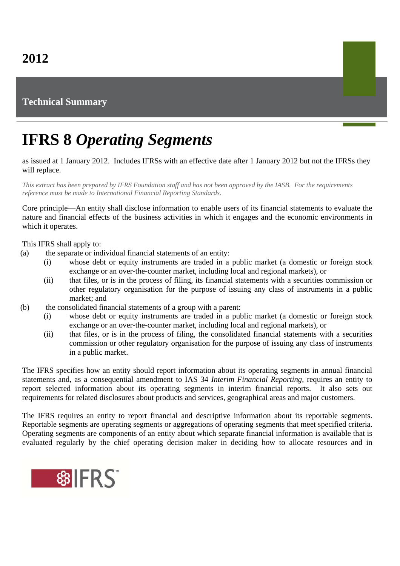## **Technical Summary**

## **IFRS 8** *Operating Segments*

as issued at 1 January 2012. Includes IFRSs with an effective date after 1 January 2012 but not the IFRSs they will replace.

*This extract has been prepared by IFRS Foundation staff and has not been approved by the IASB. For the requirements reference must be made to International Financial Reporting Standards.*

Core principle—An entity shall disclose information to enable users of its financial statements to evaluate the nature and financial effects of the business activities in which it engages and the economic environments in which it operates.

This IFRS shall apply to:

- (a) the separate or individual financial statements of an entity:
	- (i) whose debt or equity instruments are traded in a public market (a domestic or foreign stock exchange or an over-the-counter market, including local and regional markets), or
	- (ii) that files, or is in the process of filing, its financial statements with a securities commission or other regulatory organisation for the purpose of issuing any class of instruments in a public market; and
- (b) the consolidated financial statements of a group with a parent:
	- (i) whose debt or equity instruments are traded in a public market (a domestic or foreign stock exchange or an over-the-counter market, including local and regional markets), or
	- (ii) that files, or is in the process of filing, the consolidated financial statements with a securities commission or other regulatory organisation for the purpose of issuing any class of instruments in a public market.

The IFRS specifies how an entity should report information about its operating segments in annual financial statements and, as a consequential amendment to IAS 34 *Interim Financial Reporting*, requires an entity to report selected information about its operating segments in interim financial reports. It also sets out requirements for related disclosures about products and services, geographical areas and major customers.

The IFRS requires an entity to report financial and descriptive information about its reportable segments. Reportable segments are operating segments or aggregations of operating segments that meet specified criteria. Operating segments are components of an entity about which separate financial information is available that is evaluated regularly by the chief operating decision maker in deciding how to allocate resources and in